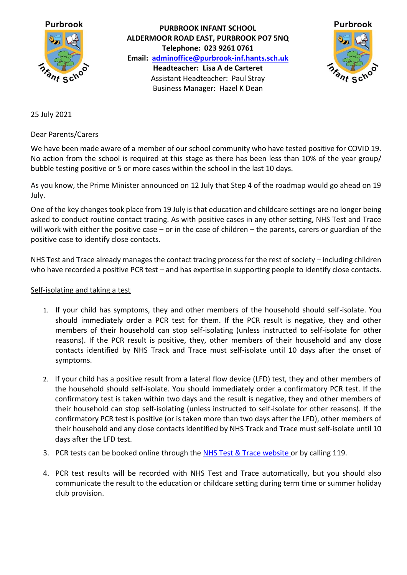

**PURBROOK INFANT SCHOOL ALDERMOOR ROAD EAST, PURBROOK PO7 5NQ Telephone: 023 9261 0761 Email: [adminoffice@purbrook-inf.hants.sch.uk](mailto:adminoffice@purbrook-inf.hants.sch.uk) Headteacher: Lisa A de Carteret** Assistant Headteacher: Paul Stray Business Manager: Hazel K Dean



25 July 2021

Dear Parents/Carers

We have been made aware of a member of our school community who have tested positive for COVID 19. No action from the school is required at this stage as there has been less than 10% of the year group/ bubble testing positive or 5 or more cases within the school in the last 10 days.

As you know, the Prime Minister announced on 12 July that Step 4 of the roadmap would go ahead on 19 July.

One of the key changes took place from 19 July is that education and childcare settings are no longer being asked to conduct routine contact tracing. As with positive cases in any other setting, NHS Test and Trace will work with either the positive case – or in the case of children – the parents, carers or guardian of the positive case to identify close contacts.

NHS Test and Trace already manages the contact tracing process for the rest of society – including children who have recorded a positive PCR test – and has expertise in supporting people to identify close contacts.

## Self-isolating and taking a test

- 1. If your child has symptoms, they and other members of the household should self-isolate. You should immediately order a PCR test for them. If the PCR result is negative, they and other members of their household can stop self-isolating (unless instructed to self-isolate for other reasons). If the PCR result is positive, they, other members of their household and any close contacts identified by NHS Track and Trace must self-isolate until 10 days after the onset of symptoms.
- 2. If your child has a positive result from a lateral flow device (LFD) test, they and other members of the household should self-isolate. You should immediately order a confirmatory PCR test. If the confirmatory test is taken within two days and the result is negative, they and other members of their household can stop self-isolating (unless instructed to self-isolate for other reasons). If the confirmatory PCR test is positive (or is taken more than two days after the LFD), other members of their household and any close contacts identified by NHS Track and Trace must self-isolate until 10 days after the LFD test.
- 3. PCR tests can be booked online through the [NHS Test & Trace website](https://www.nhs.uk/conditions/coronavirus-covid-19/testing/) or by calling 119.
- 4. PCR test results will be recorded with NHS Test and Trace automatically, but you should also communicate the result to the education or childcare setting during term time or summer holiday club provision.